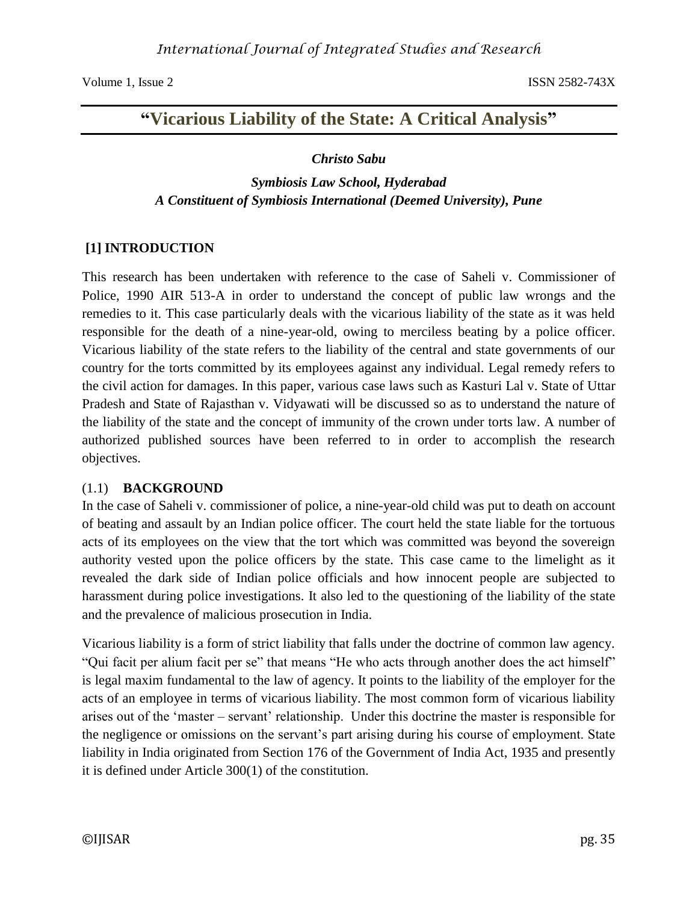# **"Vicarious Liability of the State: A Critical Analysis"**

### *Christo Sabu*

*Symbiosis Law School, Hyderabad A Constituent of Symbiosis International (Deemed University), Pune*

## **[1] INTRODUCTION**

This research has been undertaken with reference to the case of Saheli v. Commissioner of Police, 1990 AIR 513-A in order to understand the concept of public law wrongs and the remedies to it. This case particularly deals with the vicarious liability of the state as it was held responsible for the death of a nine-year-old, owing to merciless beating by a police officer. Vicarious liability of the state refers to the liability of the central and state governments of our country for the torts committed by its employees against any individual. Legal remedy refers to the civil action for damages. In this paper, various case laws such as Kasturi Lal v. State of Uttar Pradesh and State of Rajasthan v. Vidyawati will be discussed so as to understand the nature of the liability of the state and the concept of immunity of the crown under torts law. A number of authorized published sources have been referred to in order to accomplish the research objectives.

### (1.1) **BACKGROUND**

In the case of Saheli v. commissioner of police, a nine-year-old child was put to death on account of beating and assault by an Indian police officer. The court held the state liable for the tortuous acts of its employees on the view that the tort which was committed was beyond the sovereign authority vested upon the police officers by the state. This case came to the limelight as it revealed the dark side of Indian police officials and how innocent people are subjected to harassment during police investigations. It also led to the questioning of the liability of the state and the prevalence of malicious prosecution in India.

Vicarious liability is a form of strict liability that falls under the doctrine of common law agency. "Qui facit per alium facit per se" that means "He who acts through another does the act himself" is legal maxim fundamental to the law of agency. It points to the liability of the employer for the acts of an employee in terms of vicarious liability. The most common form of vicarious liability arises out of the 'master – servant' relationship. Under this doctrine the master is responsible for the negligence or omissions on the servant's part arising during his course of employment. State liability in India originated from Section 176 of the Government of India Act, 1935 and presently it is defined under Article 300(1) of the constitution.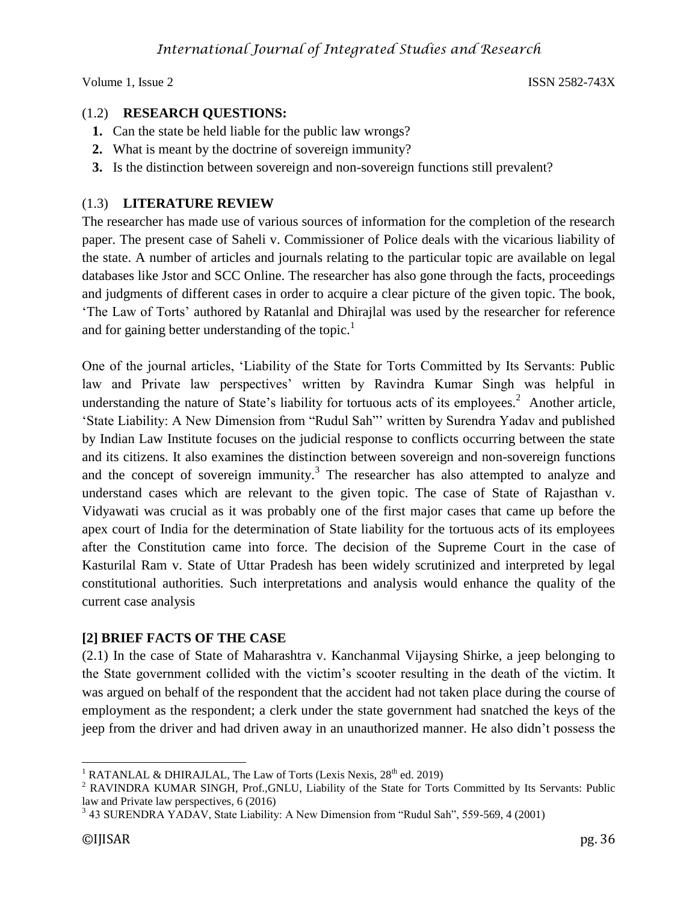## (1.2) **RESEARCH QUESTIONS:**

- **1.** Can the state be held liable for the public law wrongs?
- **2.** What is meant by the doctrine of sovereign immunity?
- **3.** Is the distinction between sovereign and non-sovereign functions still prevalent?

## (1.3) **LITERATURE REVIEW**

The researcher has made use of various sources of information for the completion of the research paper. The present case of Saheli v. Commissioner of Police deals with the vicarious liability of the state. A number of articles and journals relating to the particular topic are available on legal databases like Jstor and SCC Online. The researcher has also gone through the facts, proceedings and judgments of different cases in order to acquire a clear picture of the given topic. The book, 'The Law of Torts' authored by Ratanlal and Dhirajlal was used by the researcher for reference and for gaining better understanding of the topic.<sup>1</sup>

One of the journal articles, 'Liability of the State for Torts Committed by Its Servants: Public law and Private law perspectives' written by Ravindra Kumar Singh was helpful in understanding the nature of State's liability for tortuous acts of its employees.<sup>2</sup> Another article, 'State Liability: A New Dimension from "Rudul Sah"' written by Surendra Yadav and published by Indian Law Institute focuses on the judicial response to conflicts occurring between the state and its citizens. It also examines the distinction between sovereign and non-sovereign functions and the concept of sovereign immunity.<sup>3</sup> The researcher has also attempted to analyze and understand cases which are relevant to the given topic. The case of State of Rajasthan v. Vidyawati was crucial as it was probably one of the first major cases that came up before the apex court of India for the determination of State liability for the tortuous acts of its employees after the Constitution came into force. The decision of the Supreme Court in the case of Kasturilal Ram v. State of Uttar Pradesh has been widely scrutinized and interpreted by legal constitutional authorities. Such interpretations and analysis would enhance the quality of the current case analysis

### **[2] BRIEF FACTS OF THE CASE**

(2.1) In the case of State of Maharashtra v. Kanchanmal Vijaysing Shirke, a jeep belonging to the State government collided with the victim's scooter resulting in the death of the victim. It was argued on behalf of the respondent that the accident had not taken place during the course of employment as the respondent; a clerk under the state government had snatched the keys of the jeep from the driver and had driven away in an unauthorized manner. He also didn't possess the

 $\overline{\phantom{a}}$ <sup>1</sup> RATANLAL & DHIRAJLAL, The Law of Torts (Lexis Nexis,  $28<sup>th</sup>$  ed. 2019)

<sup>&</sup>lt;sup>2</sup> RAVINDRA KUMAR SINGH, Prof.,GNLU, Liability of the State for Torts Committed by Its Servants: Public law and Private law perspectives, 6 (2016)

<sup>&</sup>lt;sup>3</sup> 43 SURENDRA YADAV, State Liability: A New Dimension from "Rudul Sah", 559-569, 4 (2001)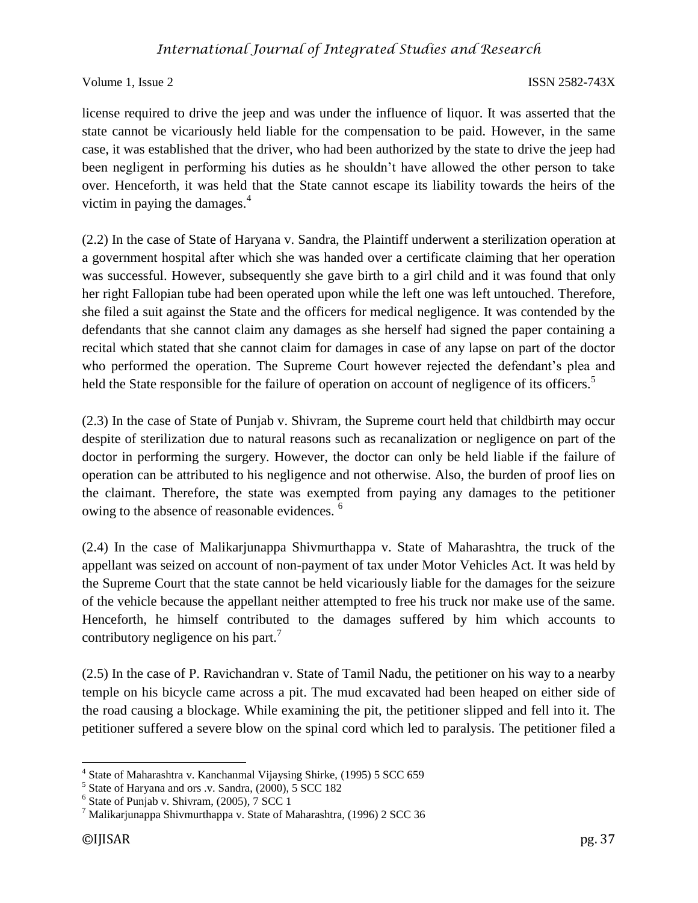## *International Journal of Integrated Studies and Research*

Volume 1, Issue 2 ISSN 2582-743X

license required to drive the jeep and was under the influence of liquor. It was asserted that the state cannot be vicariously held liable for the compensation to be paid. However, in the same case, it was established that the driver, who had been authorized by the state to drive the jeep had been negligent in performing his duties as he shouldn't have allowed the other person to take over. Henceforth, it was held that the State cannot escape its liability towards the heirs of the victim in paying the damages. $4$ 

(2.2) In the case of State of Haryana v. Sandra, the Plaintiff underwent a sterilization operation at a government hospital after which she was handed over a certificate claiming that her operation was successful. However, subsequently she gave birth to a girl child and it was found that only her right Fallopian tube had been operated upon while the left one was left untouched. Therefore, she filed a suit against the State and the officers for medical negligence. It was contended by the defendants that she cannot claim any damages as she herself had signed the paper containing a recital which stated that she cannot claim for damages in case of any lapse on part of the doctor who performed the operation. The Supreme Court however rejected the defendant's plea and held the State responsible for the failure of operation on account of negligence of its officers.<sup>5</sup>

(2.3) In the case of State of Punjab v. Shivram, the Supreme court held that childbirth may occur despite of sterilization due to natural reasons such as recanalization or negligence on part of the doctor in performing the surgery. However, the doctor can only be held liable if the failure of operation can be attributed to his negligence and not otherwise. Also, the burden of proof lies on the claimant. Therefore, the state was exempted from paying any damages to the petitioner owing to the absence of reasonable evidences. <sup>6</sup>

(2.4) In the case of Malikarjunappa Shivmurthappa v. State of Maharashtra, the truck of the appellant was seized on account of non-payment of tax under Motor Vehicles Act. It was held by the Supreme Court that the state cannot be held vicariously liable for the damages for the seizure of the vehicle because the appellant neither attempted to free his truck nor make use of the same. Henceforth, he himself contributed to the damages suffered by him which accounts to contributory negligence on his part.<sup>7</sup>

(2.5) In the case of P. Ravichandran v. State of Tamil Nadu, the petitioner on his way to a nearby temple on his bicycle came across a pit. The mud excavated had been heaped on either side of the road causing a blockage. While examining the pit, the petitioner slipped and fell into it. The petitioner suffered a severe blow on the spinal cord which led to paralysis. The petitioner filed a

 4 State of Maharashtra v. Kanchanmal Vijaysing Shirke, (1995) 5 SCC 659

<sup>&</sup>lt;sup>5</sup> State of Haryana and ors .v. Sandra, (2000), 5 SCC 182

<sup>6</sup> State of Punjab v. Shivram, (2005), 7 SCC 1

 $7$  Malikarjunappa Shivmurthappa v. State of Maharashtra, (1996) 2 SCC 36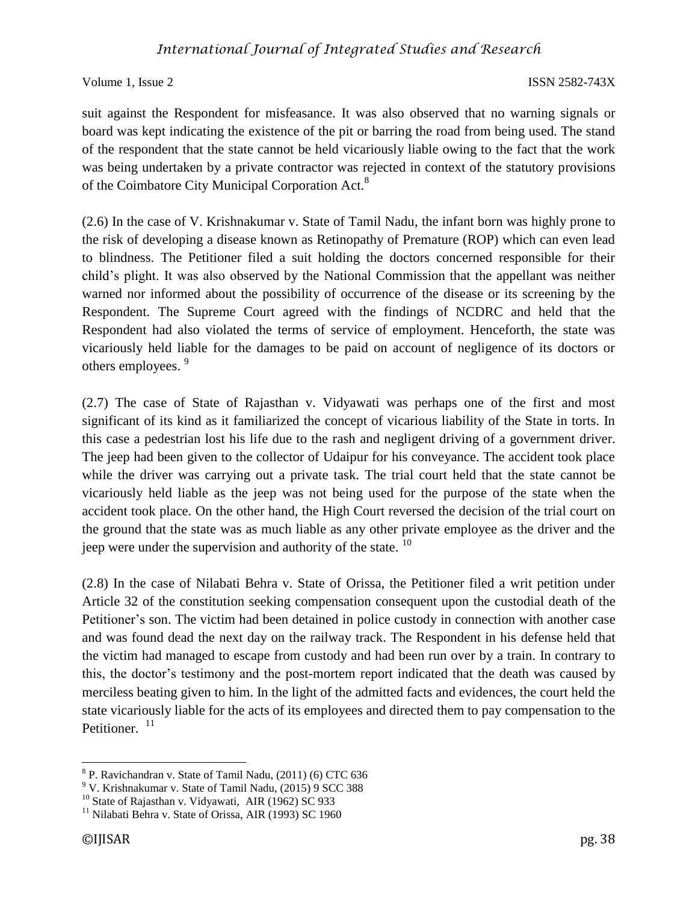## *International Journal of Integrated Studies and Research*

Volume 1, Issue 2 ISSN 2582-743X

suit against the Respondent for misfeasance. It was also observed that no warning signals or board was kept indicating the existence of the pit or barring the road from being used. The stand of the respondent that the state cannot be held vicariously liable owing to the fact that the work was being undertaken by a private contractor was rejected in context of the statutory provisions of the Coimbatore City Municipal Corporation Act.<sup>8</sup>

(2.6) In the case of V. Krishnakumar v. State of Tamil Nadu, the infant born was highly prone to the risk of developing a disease known as Retinopathy of Premature (ROP) which can even lead to blindness. The Petitioner filed a suit holding the doctors concerned responsible for their child's plight. It was also observed by the National Commission that the appellant was neither warned nor informed about the possibility of occurrence of the disease or its screening by the Respondent. The Supreme Court agreed with the findings of NCDRC and held that the Respondent had also violated the terms of service of employment. Henceforth, the state was vicariously held liable for the damages to be paid on account of negligence of its doctors or others employees. <sup>9</sup>

(2.7) The case of State of Rajasthan v. Vidyawati was perhaps one of the first and most significant of its kind as it familiarized the concept of vicarious liability of the State in torts. In this case a pedestrian lost his life due to the rash and negligent driving of a government driver. The jeep had been given to the collector of Udaipur for his conveyance. The accident took place while the driver was carrying out a private task. The trial court held that the state cannot be vicariously held liable as the jeep was not being used for the purpose of the state when the accident took place. On the other hand, the High Court reversed the decision of the trial court on the ground that the state was as much liable as any other private employee as the driver and the jeep were under the supervision and authority of the state.  $^{10}$ 

(2.8) In the case of Nilabati Behra v. State of Orissa, the Petitioner filed a writ petition under Article 32 of the constitution seeking compensation consequent upon the custodial death of the Petitioner's son. The victim had been detained in police custody in connection with another case and was found dead the next day on the railway track. The Respondent in his defense held that the victim had managed to escape from custody and had been run over by a train. In contrary to this, the doctor's testimony and the post-mortem report indicated that the death was caused by merciless beating given to him. In the light of the admitted facts and evidences, the court held the state vicariously liable for the acts of its employees and directed them to pay compensation to the Petitioner.<sup>11</sup>

 $\overline{\phantom{a}}$ 

<sup>&</sup>lt;sup>8</sup> P. Ravichandran v. State of Tamil Nadu, (2011) (6) CTC 636

<sup>9</sup> V. Krishnakumar v. State of Tamil Nadu, (2015) 9 SCC 388

<sup>&</sup>lt;sup>10</sup> State of Rajasthan v. Vidyawati, AIR (1962) SC 933

 $11$  Nilabati Behra v. State of Orissa, AIR (1993) SC 1960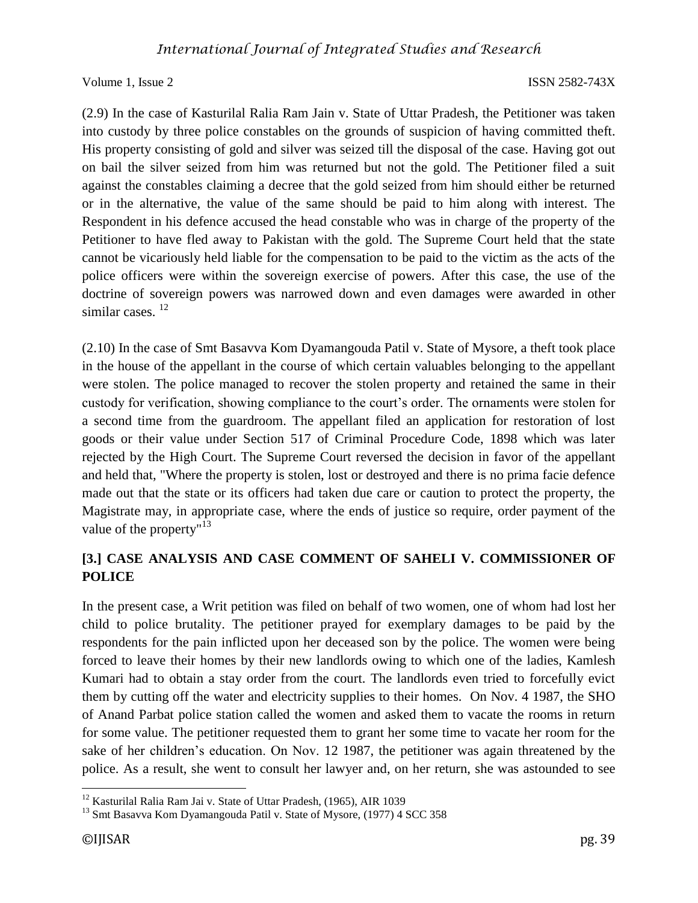(2.9) In the case of Kasturilal Ralia Ram Jain v. State of Uttar Pradesh, the Petitioner was taken into custody by three police constables on the grounds of suspicion of having committed theft. His property consisting of gold and silver was seized till the disposal of the case. Having got out on bail the silver seized from him was returned but not the gold. The Petitioner filed a suit against the constables claiming a decree that the gold seized from him should either be returned or in the alternative, the value of the same should be paid to him along with interest. The Respondent in his defence accused the head constable who was in charge of the property of the Petitioner to have fled away to Pakistan with the gold. The Supreme Court held that the state cannot be vicariously held liable for the compensation to be paid to the victim as the acts of the police officers were within the sovereign exercise of powers. After this case, the use of the doctrine of sovereign powers was narrowed down and even damages were awarded in other similar cases.<sup>12</sup>

(2.10) In the case of Smt Basavva Kom Dyamangouda Patil v. State of Mysore, a theft took place in the house of the appellant in the course of which certain valuables belonging to the appellant were stolen. The police managed to recover the stolen property and retained the same in their custody for verification, showing compliance to the court's order. The ornaments were stolen for a second time from the guardroom. The appellant filed an application for restoration of lost goods or their value under Section 517 of Criminal Procedure Code, 1898 which was later rejected by the High Court. The Supreme Court reversed the decision in favor of the appellant and held that, "Where the property is stolen, lost or destroyed and there is no prima facie defence made out that the state or its officers had taken due care or caution to protect the property, the Magistrate may, in appropriate case, where the ends of justice so require, order payment of the value of the property" $13$ 

## **[3.] CASE ANALYSIS AND CASE COMMENT OF SAHELI V. COMMISSIONER OF POLICE**

In the present case, a Writ petition was filed on behalf of two women, one of whom had lost her child to police brutality. The petitioner prayed for exemplary damages to be paid by the respondents for the pain inflicted upon her deceased son by the police. The women were being forced to leave their homes by their new landlords owing to which one of the ladies, Kamlesh Kumari had to obtain a stay order from the court. The landlords even tried to forcefully evict them by cutting off the water and electricity supplies to their homes. On Nov. 4 1987, the SHO of Anand Parbat police station called the women and asked them to vacate the rooms in return for some value. The petitioner requested them to grant her some time to vacate her room for the sake of her children's education. On Nov. 12 1987, the petitioner was again threatened by the police. As a result, she went to consult her lawyer and, on her return, she was astounded to see

 $\overline{\phantom{a}}$  $12$  Kasturilal Ralia Ram Jai v. State of Uttar Pradesh, (1965), AIR 1039

<sup>&</sup>lt;sup>13</sup> Smt Basavva Kom Dyamangouda Patil v. State of Mysore, (1977) 4 SCC 358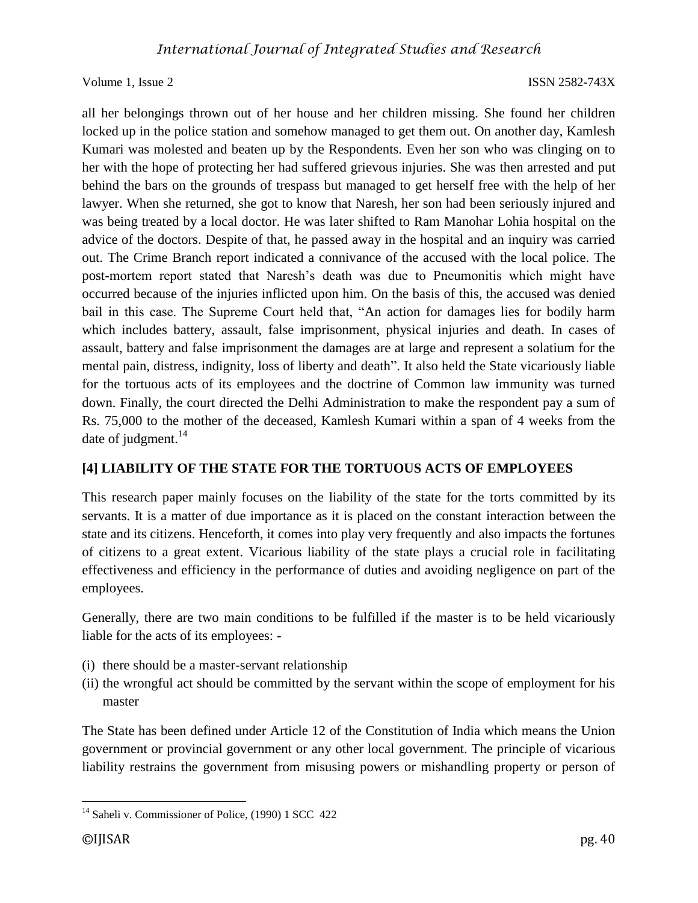all her belongings thrown out of her house and her children missing. She found her children locked up in the police station and somehow managed to get them out. On another day, Kamlesh Kumari was molested and beaten up by the Respondents. Even her son who was clinging on to her with the hope of protecting her had suffered grievous injuries. She was then arrested and put behind the bars on the grounds of trespass but managed to get herself free with the help of her lawyer. When she returned, she got to know that Naresh, her son had been seriously injured and was being treated by a local doctor. He was later shifted to Ram Manohar Lohia hospital on the advice of the doctors. Despite of that, he passed away in the hospital and an inquiry was carried out. The Crime Branch report indicated a connivance of the accused with the local police. The post-mortem report stated that Naresh's death was due to Pneumonitis which might have occurred because of the injuries inflicted upon him. On the basis of this, the accused was denied bail in this case. The Supreme Court held that, "An action for damages lies for bodily harm which includes battery, assault, false imprisonment, physical injuries and death. In cases of assault, battery and false imprisonment the damages are at large and represent a solatium for the mental pain, distress, indignity, loss of liberty and death". It also held the State vicariously liable for the tortuous acts of its employees and the doctrine of Common law immunity was turned down. Finally, the court directed the Delhi Administration to make the respondent pay a sum of Rs. 75,000 to the mother of the deceased, Kamlesh Kumari within a span of 4 weeks from the date of judgment. $^{14}$ 

### **[4] LIABILITY OF THE STATE FOR THE TORTUOUS ACTS OF EMPLOYEES**

This research paper mainly focuses on the liability of the state for the torts committed by its servants. It is a matter of due importance as it is placed on the constant interaction between the state and its citizens. Henceforth, it comes into play very frequently and also impacts the fortunes of citizens to a great extent. Vicarious liability of the state plays a crucial role in facilitating effectiveness and efficiency in the performance of duties and avoiding negligence on part of the employees.

Generally, there are two main conditions to be fulfilled if the master is to be held vicariously liable for the acts of its employees: -

- (i) there should be a master-servant relationship
- (ii) the wrongful act should be committed by the servant within the scope of employment for his master

The State has been defined under Article 12 of the Constitution of India which means the Union government or provincial government or any other local government. The principle of vicarious liability restrains the government from misusing powers or mishandling property or person of

 $\overline{\phantom{a}}$ <sup>14</sup> Saheli v. Commissioner of Police, (1990) 1 SCC 422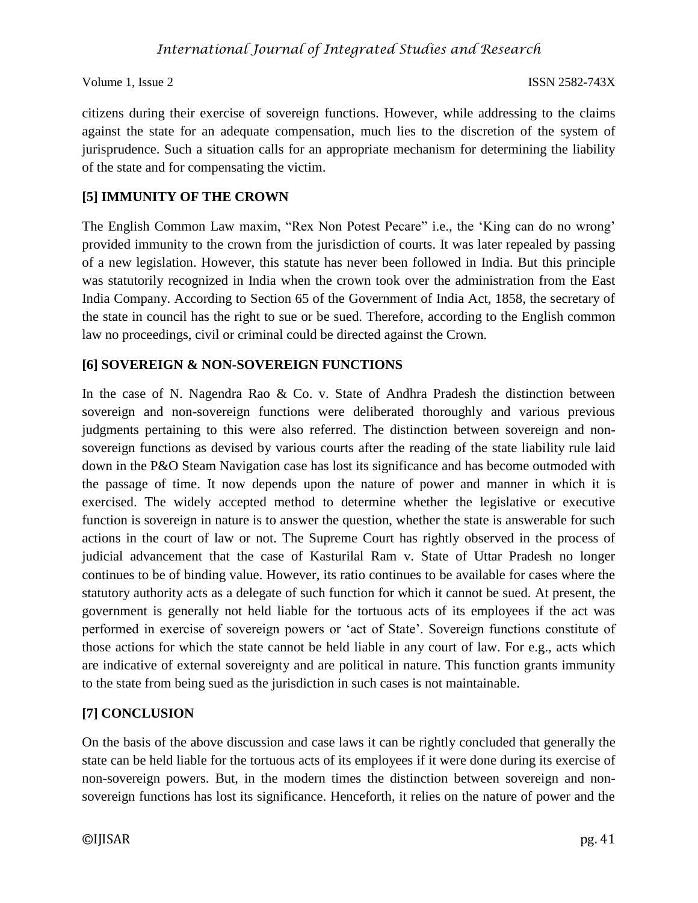citizens during their exercise of sovereign functions. However, while addressing to the claims against the state for an adequate compensation, much lies to the discretion of the system of jurisprudence. Such a situation calls for an appropriate mechanism for determining the liability of the state and for compensating the victim.

## **[5] IMMUNITY OF THE CROWN**

The English Common Law maxim, "Rex Non Potest Pecare" i.e., the 'King can do no wrong' provided immunity to the crown from the jurisdiction of courts. It was later repealed by passing of a new legislation. However, this statute has never been followed in India. But this principle was statutorily recognized in India when the crown took over the administration from the East India Company. According to Section 65 of the Government of India Act, 1858, the secretary of the state in council has the right to sue or be sued. Therefore, according to the English common law no proceedings, civil or criminal could be directed against the Crown.

## **[6] SOVEREIGN & NON-SOVEREIGN FUNCTIONS**

In the case of N. Nagendra Rao & Co. v. State of Andhra Pradesh the distinction between sovereign and non-sovereign functions were deliberated thoroughly and various previous judgments pertaining to this were also referred. The distinction between sovereign and nonsovereign functions as devised by various courts after the reading of the state liability rule laid down in the P&O Steam Navigation case has lost its significance and has become outmoded with the passage of time. It now depends upon the nature of power and manner in which it is exercised. The widely accepted method to determine whether the legislative or executive function is sovereign in nature is to answer the question, whether the state is answerable for such actions in the court of law or not. The Supreme Court has rightly observed in the process of judicial advancement that the case of Kasturilal Ram v. State of Uttar Pradesh no longer continues to be of binding value. However, its ratio continues to be available for cases where the statutory authority acts as a delegate of such function for which it cannot be sued. At present, the government is generally not held liable for the tortuous acts of its employees if the act was performed in exercise of sovereign powers or 'act of State'. Sovereign functions constitute of those actions for which the state cannot be held liable in any court of law. For e.g., acts which are indicative of external sovereignty and are political in nature. This function grants immunity to the state from being sued as the jurisdiction in such cases is not maintainable.

## **[7] CONCLUSION**

On the basis of the above discussion and case laws it can be rightly concluded that generally the state can be held liable for the tortuous acts of its employees if it were done during its exercise of non-sovereign powers. But, in the modern times the distinction between sovereign and nonsovereign functions has lost its significance. Henceforth, it relies on the nature of power and the